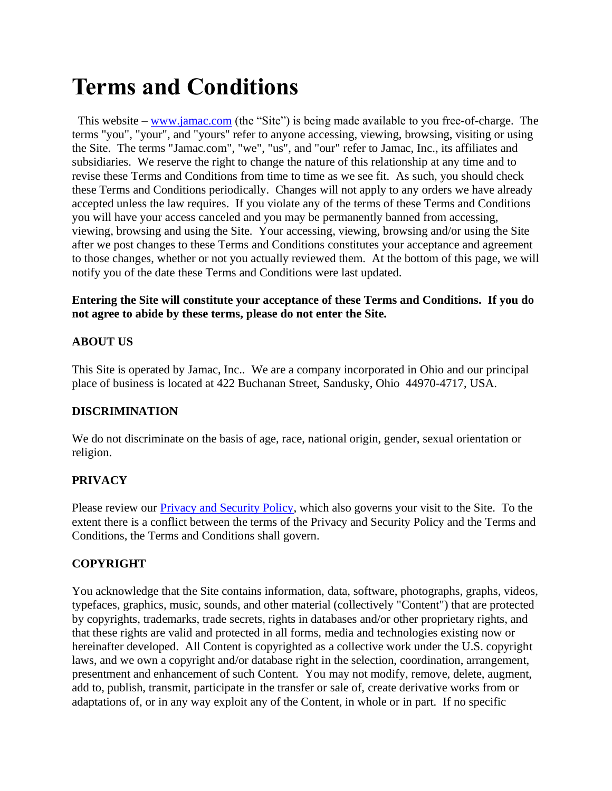# **Terms and Conditions**

This website – [www.jamac.com](http://www.jamac.com/) (the "Site") is being made available to you free-of-charge. The terms "you", "your", and "yours" refer to anyone accessing, viewing, browsing, visiting or using the Site. The terms "Jamac.com", "we", "us", and "our" refer to Jamac, Inc., its affiliates and subsidiaries. We reserve the right to change the nature of this relationship at any time and to revise these Terms and Conditions from time to time as we see fit. As such, you should check these Terms and Conditions periodically. Changes will not apply to any orders we have already accepted unless the law requires. If you violate any of the terms of these Terms and Conditions you will have your access canceled and you may be permanently banned from accessing, viewing, browsing and using the Site. Your accessing, viewing, browsing and/or using the Site after we post changes to these Terms and Conditions constitutes your acceptance and agreement to those changes, whether or not you actually reviewed them. At the bottom of this page, we will notify you of the date these Terms and Conditions were last updated.

## **Entering the Site will constitute your acceptance of these Terms and Conditions. If you do not agree to abide by these terms, please do not enter the Site.**

# **ABOUT US**

This Site is operated by Jamac, Inc.. We are a company incorporated in Ohio and our principal place of business is located at 422 Buchanan Street, Sandusky, Ohio 44970-4717, USA.

# **DISCRIMINATION**

We do not discriminate on the basis of age, race, national origin, gender, sexual orientation or religion.

# **PRIVACY**

Please review our Privacy and Security Policy, which also governs your visit to the Site. To the extent there is a conflict between the terms of the Privacy and Security Policy and the Terms and Conditions, the Terms and Conditions shall govern.

# **COPYRIGHT**

You acknowledge that the Site contains information, data, software, photographs, graphs, videos, typefaces, graphics, music, sounds, and other material (collectively "Content") that are protected by copyrights, trademarks, trade secrets, rights in databases and/or other proprietary rights, and that these rights are valid and protected in all forms, media and technologies existing now or hereinafter developed. All Content is copyrighted as a collective work under the U.S. copyright laws, and we own a copyright and/or database right in the selection, coordination, arrangement, presentment and enhancement of such Content. You may not modify, remove, delete, augment, add to, publish, transmit, participate in the transfer or sale of, create derivative works from or adaptations of, or in any way exploit any of the Content, in whole or in part. If no specific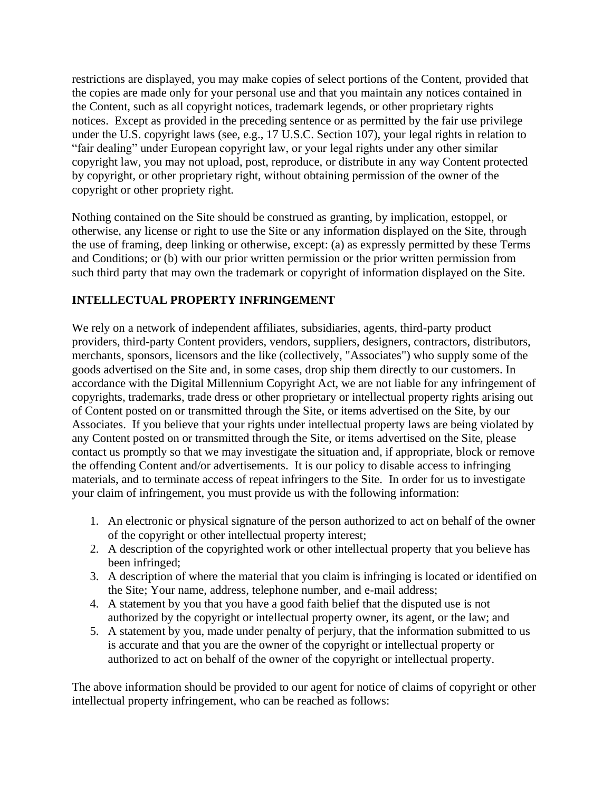restrictions are displayed, you may make copies of select portions of the Content, provided that the copies are made only for your personal use and that you maintain any notices contained in the Content, such as all copyright notices, trademark legends, or other proprietary rights notices. Except as provided in the preceding sentence or as permitted by the fair use privilege under the U.S. copyright laws (see, e.g., 17 U.S.C. Section 107), your legal rights in relation to "fair dealing" under European copyright law, or your legal rights under any other similar copyright law, you may not upload, post, reproduce, or distribute in any way Content protected by copyright, or other proprietary right, without obtaining permission of the owner of the copyright or other propriety right.

Nothing contained on the Site should be construed as granting, by implication, estoppel, or otherwise, any license or right to use the Site or any information displayed on the Site, through the use of framing, deep linking or otherwise, except: (a) as expressly permitted by these Terms and Conditions; or (b) with our prior written permission or the prior written permission from such third party that may own the trademark or copyright of information displayed on the Site.

# **INTELLECTUAL PROPERTY INFRINGEMENT**

We rely on a network of independent affiliates, subsidiaries, agents, third-party product providers, third-party Content providers, vendors, suppliers, designers, contractors, distributors, merchants, sponsors, licensors and the like (collectively, "Associates") who supply some of the goods advertised on the Site and, in some cases, drop ship them directly to our customers. In accordance with the Digital Millennium Copyright Act, we are not liable for any infringement of copyrights, trademarks, trade dress or other proprietary or intellectual property rights arising out of Content posted on or transmitted through the Site, or items advertised on the Site, by our Associates. If you believe that your rights under intellectual property laws are being violated by any Content posted on or transmitted through the Site, or items advertised on the Site, please contact us promptly so that we may investigate the situation and, if appropriate, block or remove the offending Content and/or advertisements. It is our policy to disable access to infringing materials, and to terminate access of repeat infringers to the Site. In order for us to investigate your claim of infringement, you must provide us with the following information:

- 1. An electronic or physical signature of the person authorized to act on behalf of the owner of the copyright or other intellectual property interest;
- 2. A description of the copyrighted work or other intellectual property that you believe has been infringed;
- 3. A description of where the material that you claim is infringing is located or identified on the Site; Your name, address, telephone number, and e-mail address;
- 4. A statement by you that you have a good faith belief that the disputed use is not authorized by the copyright or intellectual property owner, its agent, or the law; and
- 5. A statement by you, made under penalty of perjury, that the information submitted to us is accurate and that you are the owner of the copyright or intellectual property or authorized to act on behalf of the owner of the copyright or intellectual property.

The above information should be provided to our agent for notice of claims of copyright or other intellectual property infringement, who can be reached as follows: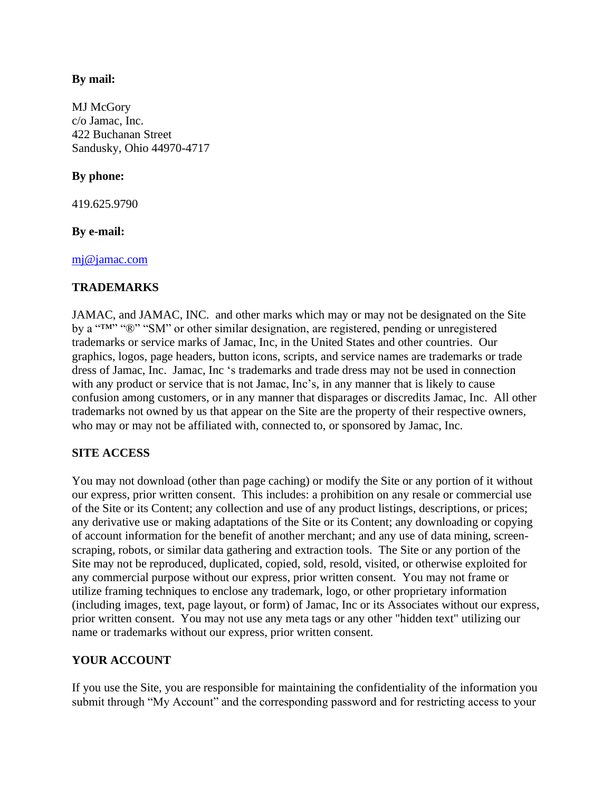### **By mail:**

MJ McGory c/o Jamac, Inc. 422 Buchanan Street Sandusky, Ohio 44970-4717

# **By phone:**

419.625.9790

## **By e-mail:**

mj@jamac.com

## **TRADEMARKS**

JAMAC, and JAMAC, INC. and other marks which may or may not be designated on the Site by a "IM" "<sup>®</sup>" "SM" or other similar designation, are registered, pending or unregistered trademarks or service marks of Jamac, Inc, in the United States and other countries. Our graphics, logos, page headers, button icons, scripts, and service names are trademarks or trade dress of Jamac, Inc. Jamac, Inc 's trademarks and trade dress may not be used in connection with any product or service that is not Jamac, Inc's, in any manner that is likely to cause confusion among customers, or in any manner that disparages or discredits Jamac, Inc. All other trademarks not owned by us that appear on the Site are the property of their respective owners, who may or may not be affiliated with, connected to, or sponsored by Jamac, Inc.

# **SITE ACCESS**

You may not download (other than page caching) or modify the Site or any portion of it without our express, prior written consent. This includes: a prohibition on any resale or commercial use of the Site or its Content; any collection and use of any product listings, descriptions, or prices; any derivative use or making adaptations of the Site or its Content; any downloading or copying of account information for the benefit of another merchant; and any use of data mining, screenscraping, robots, or similar data gathering and extraction tools. The Site or any portion of the Site may not be reproduced, duplicated, copied, sold, resold, visited, or otherwise exploited for any commercial purpose without our express, prior written consent. You may not frame or utilize framing techniques to enclose any trademark, logo, or other proprietary information (including images, text, page layout, or form) of Jamac, Inc or its Associates without our express, prior written consent. You may not use any meta tags or any other "hidden text" utilizing our name or trademarks without our express, prior written consent.

# **YOUR ACCOUNT**

If you use the Site, you are responsible for maintaining the confidentiality of the information you submit through "My Account" and the corresponding password and for restricting access to your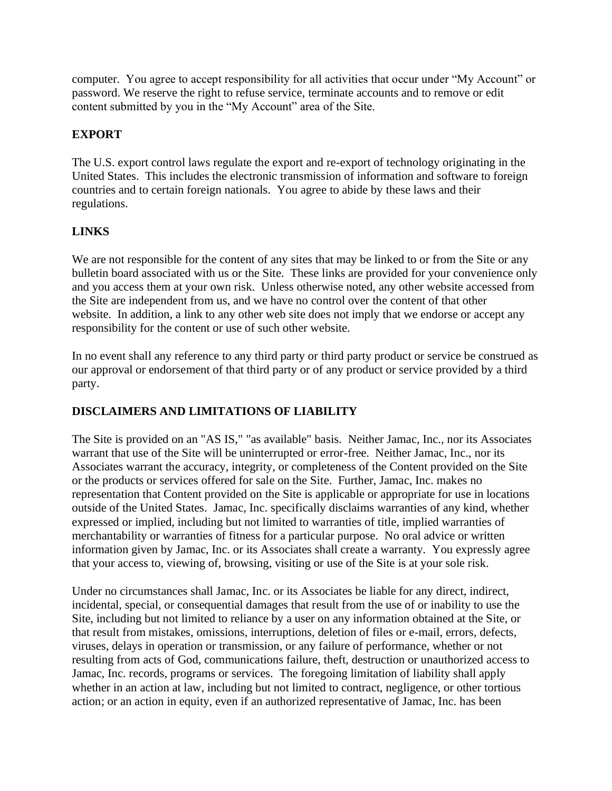computer. You agree to accept responsibility for all activities that occur under "My Account" or password. We reserve the right to refuse service, terminate accounts and to remove or edit content submitted by you in the "My Account" area of the Site.

# **EXPORT**

The U.S. export control laws regulate the export and re-export of technology originating in the United States. This includes the electronic transmission of information and software to foreign countries and to certain foreign nationals. You agree to abide by these laws and their regulations.

# **LINKS**

We are not responsible for the content of any sites that may be linked to or from the Site or any bulletin board associated with us or the Site. These links are provided for your convenience only and you access them at your own risk. Unless otherwise noted, any other website accessed from the Site are independent from us, and we have no control over the content of that other website. In addition, a link to any other web site does not imply that we endorse or accept any responsibility for the content or use of such other website.

In no event shall any reference to any third party or third party product or service be construed as our approval or endorsement of that third party or of any product or service provided by a third party.

# **DISCLAIMERS AND LIMITATIONS OF LIABILITY**

The Site is provided on an "AS IS," "as available" basis. Neither Jamac, Inc., nor its Associates warrant that use of the Site will be uninterrupted or error-free. Neither Jamac, Inc., nor its Associates warrant the accuracy, integrity, or completeness of the Content provided on the Site or the products or services offered for sale on the Site. Further, Jamac, Inc. makes no representation that Content provided on the Site is applicable or appropriate for use in locations outside of the United States. Jamac, Inc. specifically disclaims warranties of any kind, whether expressed or implied, including but not limited to warranties of title, implied warranties of merchantability or warranties of fitness for a particular purpose. No oral advice or written information given by Jamac, Inc. or its Associates shall create a warranty. You expressly agree that your access to, viewing of, browsing, visiting or use of the Site is at your sole risk.

Under no circumstances shall Jamac, Inc. or its Associates be liable for any direct, indirect, incidental, special, or consequential damages that result from the use of or inability to use the Site, including but not limited to reliance by a user on any information obtained at the Site, or that result from mistakes, omissions, interruptions, deletion of files or e-mail, errors, defects, viruses, delays in operation or transmission, or any failure of performance, whether or not resulting from acts of God, communications failure, theft, destruction or unauthorized access to Jamac, Inc. records, programs or services. The foregoing limitation of liability shall apply whether in an action at law, including but not limited to contract, negligence, or other tortious action; or an action in equity, even if an authorized representative of Jamac, Inc. has been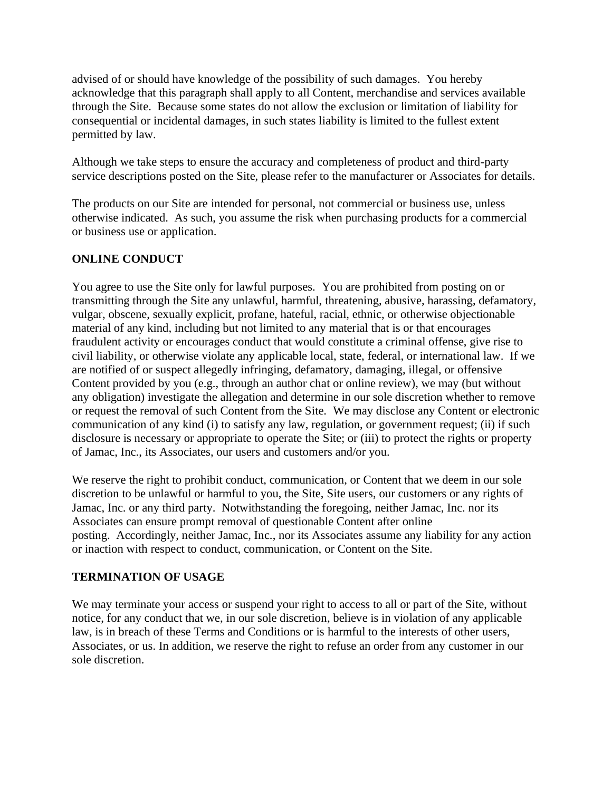advised of or should have knowledge of the possibility of such damages. You hereby acknowledge that this paragraph shall apply to all Content, merchandise and services available through the Site. Because some states do not allow the exclusion or limitation of liability for consequential or incidental damages, in such states liability is limited to the fullest extent permitted by law.

Although we take steps to ensure the accuracy and completeness of product and third-party service descriptions posted on the Site, please refer to the manufacturer or Associates for details.

The products on our Site are intended for personal, not commercial or business use, unless otherwise indicated. As such, you assume the risk when purchasing products for a commercial or business use or application.

# **ONLINE CONDUCT**

You agree to use the Site only for lawful purposes. You are prohibited from posting on or transmitting through the Site any unlawful, harmful, threatening, abusive, harassing, defamatory, vulgar, obscene, sexually explicit, profane, hateful, racial, ethnic, or otherwise objectionable material of any kind, including but not limited to any material that is or that encourages fraudulent activity or encourages conduct that would constitute a criminal offense, give rise to civil liability, or otherwise violate any applicable local, state, federal, or international law. If we are notified of or suspect allegedly infringing, defamatory, damaging, illegal, or offensive Content provided by you (e.g., through an author chat or online review), we may (but without any obligation) investigate the allegation and determine in our sole discretion whether to remove or request the removal of such Content from the Site. We may disclose any Content or electronic communication of any kind (i) to satisfy any law, regulation, or government request; (ii) if such disclosure is necessary or appropriate to operate the Site; or (iii) to protect the rights or property of Jamac, Inc., its Associates, our users and customers and/or you.

We reserve the right to prohibit conduct, communication, or Content that we deem in our sole discretion to be unlawful or harmful to you, the Site, Site users, our customers or any rights of Jamac, Inc. or any third party. Notwithstanding the foregoing, neither Jamac, Inc. nor its Associates can ensure prompt removal of questionable Content after online posting. Accordingly, neither Jamac, Inc., nor its Associates assume any liability for any action or inaction with respect to conduct, communication, or Content on the Site.

# **TERMINATION OF USAGE**

We may terminate your access or suspend your right to access to all or part of the Site, without notice, for any conduct that we, in our sole discretion, believe is in violation of any applicable law, is in breach of these Terms and Conditions or is harmful to the interests of other users, Associates, or us. In addition, we reserve the right to refuse an order from any customer in our sole discretion.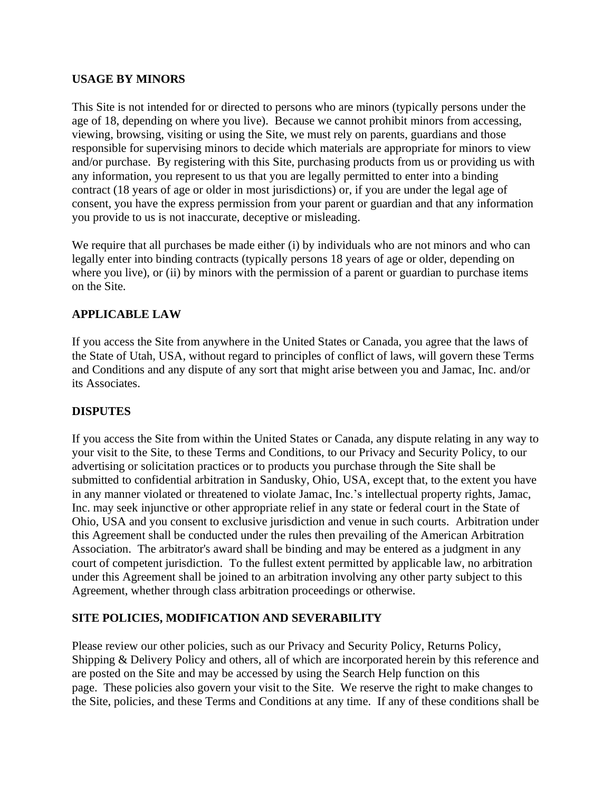## **USAGE BY MINORS**

This Site is not intended for or directed to persons who are minors (typically persons under the age of 18, depending on where you live). Because we cannot prohibit minors from accessing, viewing, browsing, visiting or using the Site, we must rely on parents, guardians and those responsible for supervising minors to decide which materials are appropriate for minors to view and/or purchase. By registering with this Site, purchasing products from us or providing us with any information, you represent to us that you are legally permitted to enter into a binding contract (18 years of age or older in most jurisdictions) or, if you are under the legal age of consent, you have the express permission from your parent or guardian and that any information you provide to us is not inaccurate, deceptive or misleading.

We require that all purchases be made either (i) by individuals who are not minors and who can legally enter into binding contracts (typically persons 18 years of age or older, depending on where you live), or (ii) by minors with the permission of a parent or guardian to purchase items on the Site.

# **APPLICABLE LAW**

If you access the Site from anywhere in the United States or Canada, you agree that the laws of the State of Utah, USA, without regard to principles of conflict of laws, will govern these Terms and Conditions and any dispute of any sort that might arise between you and Jamac, Inc. and/or its Associates.

#### **DISPUTES**

If you access the Site from within the United States or Canada, any dispute relating in any way to your visit to the Site, to these Terms and Conditions, to our Privacy and Security Policy, to our advertising or solicitation practices or to products you purchase through the Site shall be submitted to confidential arbitration in Sandusky, Ohio, USA, except that, to the extent you have in any manner violated or threatened to violate Jamac, Inc.'s intellectual property rights, Jamac, Inc. may seek injunctive or other appropriate relief in any state or federal court in the State of Ohio, USA and you consent to exclusive jurisdiction and venue in such courts. Arbitration under this Agreement shall be conducted under the rules then prevailing of the American Arbitration Association. The arbitrator's award shall be binding and may be entered as a judgment in any court of competent jurisdiction. To the fullest extent permitted by applicable law, no arbitration under this Agreement shall be joined to an arbitration involving any other party subject to this Agreement, whether through class arbitration proceedings or otherwise.

# **SITE POLICIES, MODIFICATION AND SEVERABILITY**

Please review our other policies, such as our Privacy and Security Policy, Returns Policy, Shipping & Delivery Policy and others, all of which are incorporated herein by this reference and are posted on the Site and may be accessed by using the Search Help function on this page. These policies also govern your visit to the Site. We reserve the right to make changes to the Site, policies, and these Terms and Conditions at any time. If any of these conditions shall be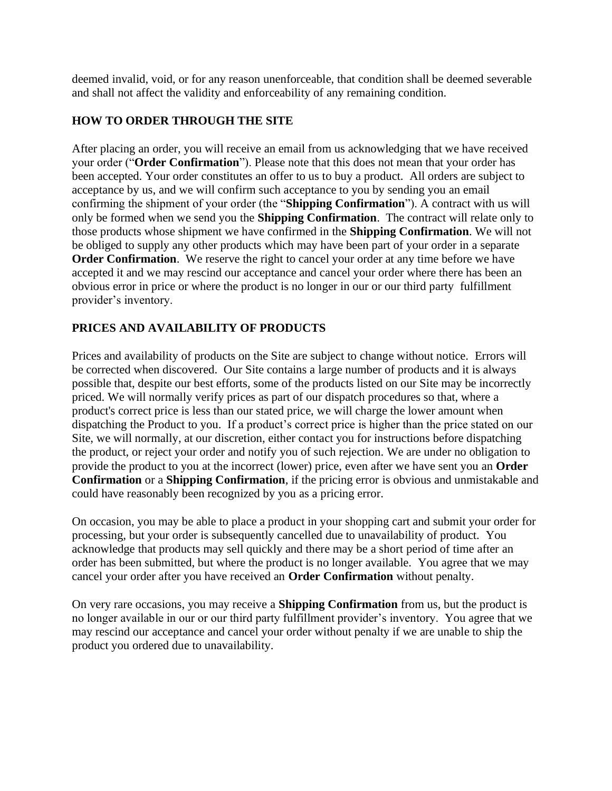deemed invalid, void, or for any reason unenforceable, that condition shall be deemed severable and shall not affect the validity and enforceability of any remaining condition.

# **HOW TO ORDER THROUGH THE SITE**

After placing an order, you will receive an email from us acknowledging that we have received your order ("**Order Confirmation**"). Please note that this does not mean that your order has been accepted. Your order constitutes an offer to us to buy a product. All orders are subject to acceptance by us, and we will confirm such acceptance to you by sending you an email confirming the shipment of your order (the "**Shipping Confirmation**"). A contract with us will only be formed when we send you the **Shipping Confirmation**. The contract will relate only to those products whose shipment we have confirmed in the **Shipping Confirmation**. We will not be obliged to supply any other products which may have been part of your order in a separate **Order Confirmation.** We reserve the right to cancel your order at any time before we have accepted it and we may rescind our acceptance and cancel your order where there has been an obvious error in price or where the product is no longer in our or our third party fulfillment provider's inventory.

# **PRICES AND AVAILABILITY OF PRODUCTS**

Prices and availability of products on the Site are subject to change without notice. Errors will be corrected when discovered. Our Site contains a large number of products and it is always possible that, despite our best efforts, some of the products listed on our Site may be incorrectly priced. We will normally verify prices as part of our dispatch procedures so that, where a product's correct price is less than our stated price, we will charge the lower amount when dispatching the Product to you. If a product's correct price is higher than the price stated on our Site, we will normally, at our discretion, either contact you for instructions before dispatching the product, or reject your order and notify you of such rejection. We are under no obligation to provide the product to you at the incorrect (lower) price, even after we have sent you an **Order Confirmation** or a **Shipping Confirmation**, if the pricing error is obvious and unmistakable and could have reasonably been recognized by you as a pricing error.

On occasion, you may be able to place a product in your shopping cart and submit your order for processing, but your order is subsequently cancelled due to unavailability of product. You acknowledge that products may sell quickly and there may be a short period of time after an order has been submitted, but where the product is no longer available. You agree that we may cancel your order after you have received an **Order Confirmation** without penalty.

On very rare occasions, you may receive a **Shipping Confirmation** from us, but the product is no longer available in our or our third party fulfillment provider's inventory. You agree that we may rescind our acceptance and cancel your order without penalty if we are unable to ship the product you ordered due to unavailability.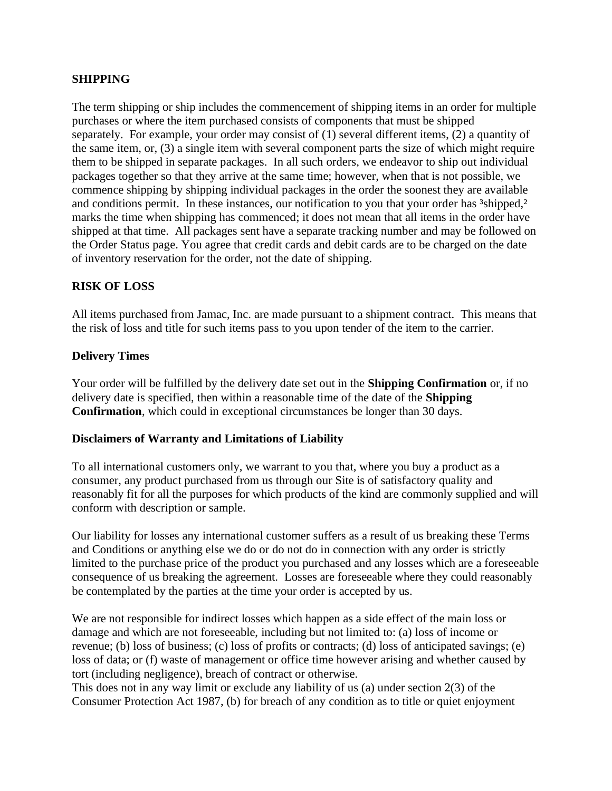### **SHIPPING**

The term shipping or ship includes the commencement of shipping items in an order for multiple purchases or where the item purchased consists of components that must be shipped separately. For example, your order may consist of (1) several different items, (2) a quantity of the same item, or, (3) a single item with several component parts the size of which might require them to be shipped in separate packages. In all such orders, we endeavor to ship out individual packages together so that they arrive at the same time; however, when that is not possible, we commence shipping by shipping individual packages in the order the soonest they are available and conditions permit. In these instances, our notification to you that your order has <sup>3</sup>shipped,<sup>2</sup> marks the time when shipping has commenced; it does not mean that all items in the order have shipped at that time. All packages sent have a separate tracking number and may be followed on the Order Status page. You agree that credit cards and debit cards are to be charged on the date of inventory reservation for the order, not the date of shipping.

## **RISK OF LOSS**

All items purchased from Jamac, Inc. are made pursuant to a shipment contract. This means that the risk of loss and title for such items pass to you upon tender of the item to the carrier.

#### **Delivery Times**

Your order will be fulfilled by the delivery date set out in the **Shipping Confirmation** or, if no delivery date is specified, then within a reasonable time of the date of the **Shipping Confirmation**, which could in exceptional circumstances be longer than 30 days.

#### **Disclaimers of Warranty and Limitations of Liability**

To all international customers only, we warrant to you that, where you buy a product as a consumer, any product purchased from us through our Site is of satisfactory quality and reasonably fit for all the purposes for which products of the kind are commonly supplied and will conform with description or sample.

Our liability for losses any international customer suffers as a result of us breaking these Terms and Conditions or anything else we do or do not do in connection with any order is strictly limited to the purchase price of the product you purchased and any losses which are a foreseeable consequence of us breaking the agreement. Losses are foreseeable where they could reasonably be contemplated by the parties at the time your order is accepted by us.

We are not responsible for indirect losses which happen as a side effect of the main loss or damage and which are not foreseeable, including but not limited to: (a) loss of income or revenue; (b) loss of business; (c) loss of profits or contracts; (d) loss of anticipated savings; (e) loss of data; or (f) waste of management or office time however arising and whether caused by tort (including negligence), breach of contract or otherwise.

This does not in any way limit or exclude any liability of us (a) under section 2(3) of the Consumer Protection Act 1987, (b) for breach of any condition as to title or quiet enjoyment